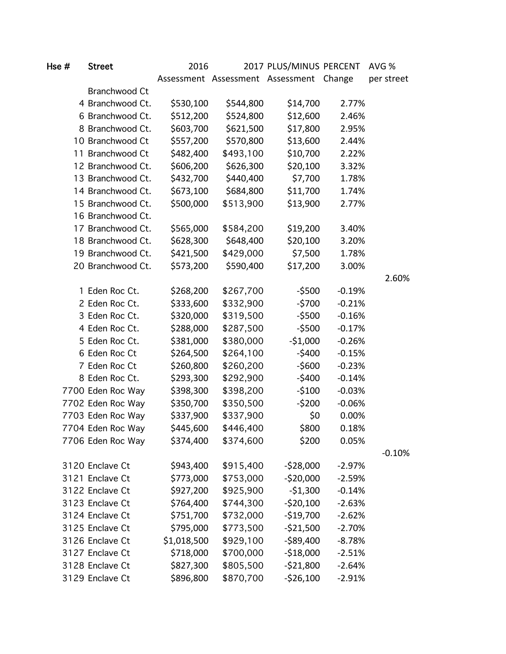| Hse # | <b>Street</b>     | 2016        |           | 2017 PLUS/MINUS PERCENT                 |          | AVG %      |
|-------|-------------------|-------------|-----------|-----------------------------------------|----------|------------|
|       |                   |             |           | Assessment Assessment Assessment Change |          | per street |
|       | Branchwood Ct     |             |           |                                         |          |            |
|       | 4 Branchwood Ct.  | \$530,100   | \$544,800 | \$14,700                                | 2.77%    |            |
|       | 6 Branchwood Ct.  | \$512,200   | \$524,800 | \$12,600                                | 2.46%    |            |
|       | 8 Branchwood Ct.  | \$603,700   | \$621,500 | \$17,800                                | 2.95%    |            |
|       | 10 Branchwood Ct  | \$557,200   | \$570,800 | \$13,600                                | 2.44%    |            |
|       | 11 Branchwood Ct  | \$482,400   | \$493,100 | \$10,700                                | 2.22%    |            |
|       | 12 Branchwood Ct. | \$606,200   | \$626,300 | \$20,100                                | 3.32%    |            |
|       | 13 Branchwood Ct. | \$432,700   | \$440,400 | \$7,700                                 | 1.78%    |            |
|       | 14 Branchwood Ct. | \$673,100   | \$684,800 | \$11,700                                | 1.74%    |            |
|       | 15 Branchwood Ct. | \$500,000   | \$513,900 | \$13,900                                | 2.77%    |            |
|       | 16 Branchwood Ct. |             |           |                                         |          |            |
|       | 17 Branchwood Ct. | \$565,000   | \$584,200 | \$19,200                                | 3.40%    |            |
|       | 18 Branchwood Ct. | \$628,300   | \$648,400 | \$20,100                                | 3.20%    |            |
|       | 19 Branchwood Ct. | \$421,500   | \$429,000 | \$7,500                                 | 1.78%    |            |
|       | 20 Branchwood Ct. | \$573,200   | \$590,400 | \$17,200                                | 3.00%    |            |
|       |                   |             |           |                                         |          | 2.60%      |
|       | 1 Eden Roc Ct.    | \$268,200   | \$267,700 | $-5500$                                 | $-0.19%$ |            |
|       | 2 Eden Roc Ct.    | \$333,600   | \$332,900 | $-5700$                                 | $-0.21%$ |            |
|       | 3 Eden Roc Ct.    | \$320,000   | \$319,500 | $-$ \$500                               | $-0.16%$ |            |
|       | 4 Eden Roc Ct.    | \$288,000   | \$287,500 | $-5500$                                 | $-0.17%$ |            |
|       | 5 Eden Roc Ct.    | \$381,000   | \$380,000 | $-51,000$                               | $-0.26%$ |            |
|       | 6 Eden Roc Ct     | \$264,500   | \$264,100 | $-5400$                                 | $-0.15%$ |            |
|       | 7 Eden Roc Ct     | \$260,800   | \$260,200 | $-$600$                                 | $-0.23%$ |            |
|       | 8 Eden Roc Ct.    | \$293,300   | \$292,900 | $-5400$                                 | $-0.14%$ |            |
|       | 7700 Eden Roc Way | \$398,300   | \$398,200 | $-5100$                                 | $-0.03%$ |            |
|       | 7702 Eden Roc Way | \$350,700   | \$350,500 | $-5200$                                 | $-0.06%$ |            |
|       | 7703 Eden Roc Way | \$337,900   | \$337,900 | \$0                                     | 0.00%    |            |
|       | 7704 Eden Roc Way | \$445,600   | \$446,400 | \$800                                   | 0.18%    |            |
|       | 7706 Eden Roc Way | \$374,400   | \$374,600 | \$200                                   | 0.05%    |            |
|       |                   |             |           |                                         |          | $-0.10%$   |
|       | 3120 Enclave Ct   | \$943,400   | \$915,400 | $-528,000$                              | $-2.97%$ |            |
|       | 3121 Enclave Ct   | \$773,000   | \$753,000 | $-520,000$                              | $-2.59%$ |            |
|       | 3122 Enclave Ct   | \$927,200   | \$925,900 | $-51,300$                               | $-0.14%$ |            |
|       | 3123 Enclave Ct   | \$764,400   | \$744,300 | $-520,100$                              | $-2.63%$ |            |
|       | 3124 Enclave Ct   | \$751,700   | \$732,000 | $-$19,700$                              | $-2.62%$ |            |
|       | 3125 Enclave Ct   | \$795,000   | \$773,500 | $-521,500$                              | $-2.70%$ |            |
|       | 3126 Enclave Ct   | \$1,018,500 | \$929,100 | $-$89,400$                              | $-8.78%$ |            |
|       | 3127 Enclave Ct   | \$718,000   | \$700,000 | $-518,000$                              | $-2.51%$ |            |
|       | 3128 Enclave Ct   | \$827,300   | \$805,500 | $-521,800$                              | $-2.64%$ |            |
|       | 3129 Enclave Ct   | \$896,800   | \$870,700 | $-526,100$                              | $-2.91%$ |            |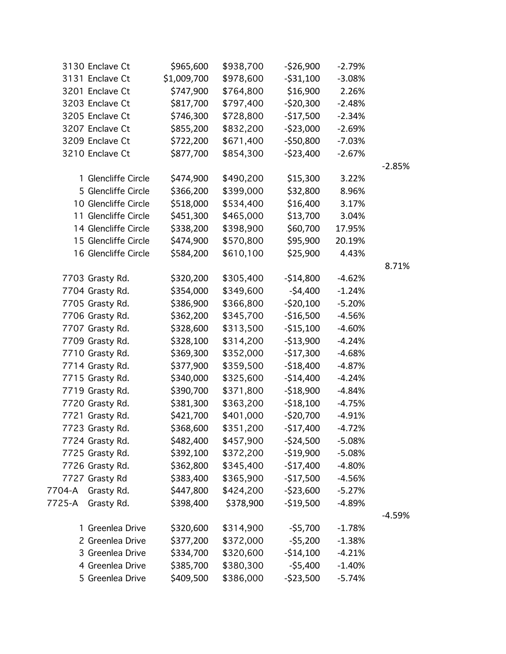|        | 3130 Enclave Ct      | \$965,600   | \$938,700 | $-526,900$   | $-2.79%$ |          |
|--------|----------------------|-------------|-----------|--------------|----------|----------|
|        | 3131 Enclave Ct      | \$1,009,700 | \$978,600 | $-531,100$   | $-3.08%$ |          |
|        | 3201 Enclave Ct      | \$747,900   | \$764,800 | \$16,900     | 2.26%    |          |
|        | 3203 Enclave Ct      | \$817,700   | \$797,400 | $-$ \$20,300 | $-2.48%$ |          |
|        | 3205 Enclave Ct      | \$746,300   | \$728,800 | $-$17,500$   | $-2.34%$ |          |
|        | 3207 Enclave Ct      | \$855,200   | \$832,200 | $-$ \$23,000 | $-2.69%$ |          |
|        | 3209 Enclave Ct      | \$722,200   | \$671,400 | $-$50,800$   | $-7.03%$ |          |
|        | 3210 Enclave Ct      | \$877,700   | \$854,300 | $-$ \$23,400 | $-2.67%$ |          |
|        |                      |             |           |              |          | $-2.85%$ |
|        | 1 Glencliffe Circle  | \$474,900   | \$490,200 | \$15,300     | 3.22%    |          |
|        | 5 Glencliffe Circle  | \$366,200   | \$399,000 | \$32,800     | 8.96%    |          |
|        | 10 Glencliffe Circle | \$518,000   | \$534,400 | \$16,400     | 3.17%    |          |
|        | 11 Glencliffe Circle | \$451,300   | \$465,000 | \$13,700     | 3.04%    |          |
|        | 14 Glencliffe Circle | \$338,200   | \$398,900 | \$60,700     | 17.95%   |          |
|        | 15 Glencliffe Circle | \$474,900   | \$570,800 | \$95,900     | 20.19%   |          |
|        | 16 Glencliffe Circle | \$584,200   | \$610,100 | \$25,900     | 4.43%    |          |
|        |                      |             |           |              |          | 8.71%    |
|        | 7703 Grasty Rd.      | \$320,200   | \$305,400 | $-$14,800$   | $-4.62%$ |          |
|        | 7704 Grasty Rd.      | \$354,000   | \$349,600 | $-54,400$    | $-1.24%$ |          |
|        | 7705 Grasty Rd.      | \$386,900   | \$366,800 | $-520,100$   | $-5.20%$ |          |
|        | 7706 Grasty Rd.      | \$362,200   | \$345,700 | $-$16,500$   | $-4.56%$ |          |
|        | 7707 Grasty Rd.      | \$328,600   | \$313,500 | $-515,100$   | $-4.60%$ |          |
|        | 7709 Grasty Rd.      | \$328,100   | \$314,200 | $-$13,900$   | $-4.24%$ |          |
|        | 7710 Grasty Rd.      | \$369,300   | \$352,000 | $-$17,300$   | $-4.68%$ |          |
|        | 7714 Grasty Rd.      | \$377,900   | \$359,500 | $-$18,400$   | $-4.87%$ |          |
|        | 7715 Grasty Rd.      | \$340,000   | \$325,600 | $-$14,400$   | $-4.24%$ |          |
|        | 7719 Grasty Rd.      | \$390,700   | \$371,800 | $-$18,900$   | $-4.84%$ |          |
|        | 7720 Grasty Rd.      | \$381,300   | \$363,200 | $-518,100$   | $-4.75%$ |          |
|        | 7721 Grasty Rd.      | \$421,700   | \$401,000 | $-520,700$   | $-4.91%$ |          |
|        | 7723 Grasty Rd.      | \$368,600   | \$351,200 | $-$17,400$   | $-4.72%$ |          |
|        | 7724 Grasty Rd.      | \$482,400   | \$457,900 | $-$ \$24,500 | $-5.08%$ |          |
|        | 7725 Grasty Rd.      | \$392,100   | \$372,200 | $-$19,900$   | $-5.08%$ |          |
|        | 7726 Grasty Rd.      | \$362,800   | \$345,400 | $-$17,400$   | -4.80%   |          |
|        | 7727 Grasty Rd       | \$383,400   | \$365,900 | $-$17,500$   | $-4.56%$ |          |
| 7704-A | Grasty Rd.           | \$447,800   | \$424,200 | $-523,600$   | $-5.27%$ |          |
| 7725-A | Grasty Rd.           | \$398,400   | \$378,900 | $-519,500$   | -4.89%   |          |
|        |                      |             |           |              |          | $-4.59%$ |
|        | 1 Greenlea Drive     | \$320,600   | \$314,900 | $-55,700$    | $-1.78%$ |          |
|        | 2 Greenlea Drive     | \$377,200   | \$372,000 | $-55,200$    | $-1.38%$ |          |
|        | 3 Greenlea Drive     | \$334,700   | \$320,600 | $-$14,100$   | $-4.21%$ |          |
|        | 4 Greenlea Drive     | \$385,700   | \$380,300 | $-$5,400$    | $-1.40%$ |          |
|        | 5 Greenlea Drive     | \$409,500   | \$386,000 | $-$ \$23,500 | $-5.74%$ |          |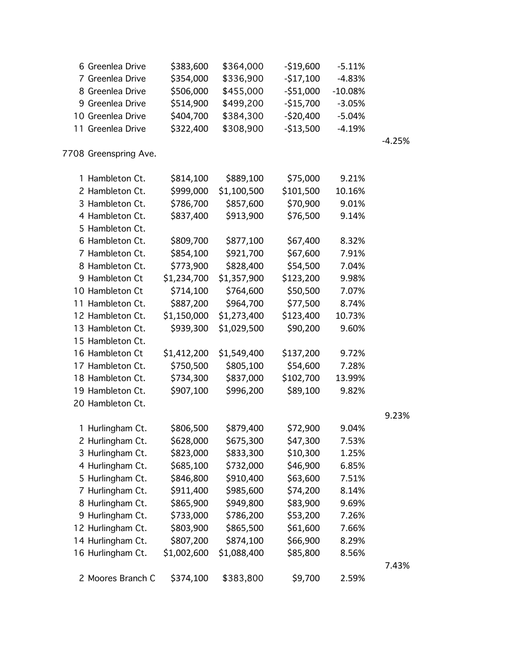| 6 Greenlea Drive      | \$383,600   | \$364,000   | $-$19,600$ | $-5.11%$  |          |
|-----------------------|-------------|-------------|------------|-----------|----------|
| 7 Greenlea Drive      | \$354,000   | \$336,900   | $-517,100$ | $-4.83%$  |          |
| 8 Greenlea Drive      | \$506,000   | \$455,000   | $-551,000$ | $-10.08%$ |          |
| 9 Greenlea Drive      | \$514,900   | \$499,200   | $-$15,700$ | $-3.05%$  |          |
| 10 Greenlea Drive     | \$404,700   | \$384,300   | $-520,400$ | $-5.04%$  |          |
| 11 Greenlea Drive     | \$322,400   | \$308,900   | $-$13,500$ | $-4.19%$  |          |
|                       |             |             |            |           | $-4.25%$ |
| 7708 Greenspring Ave. |             |             |            |           |          |
| 1 Hambleton Ct.       | \$814,100   | \$889,100   | \$75,000   | 9.21%     |          |
| 2 Hambleton Ct.       | \$999,000   | \$1,100,500 | \$101,500  | 10.16%    |          |
| 3 Hambleton Ct.       | \$786,700   | \$857,600   | \$70,900   | 9.01%     |          |
| 4 Hambleton Ct.       | \$837,400   | \$913,900   | \$76,500   | 9.14%     |          |
| 5 Hambleton Ct.       |             |             |            |           |          |
| 6 Hambleton Ct.       | \$809,700   | \$877,100   | \$67,400   | 8.32%     |          |
| 7 Hambleton Ct.       | \$854,100   | \$921,700   | \$67,600   | 7.91%     |          |
| 8 Hambleton Ct.       | \$773,900   | \$828,400   | \$54,500   | 7.04%     |          |
| 9 Hambleton Ct        | \$1,234,700 | \$1,357,900 | \$123,200  | 9.98%     |          |
| 10 Hambleton Ct       | \$714,100   | \$764,600   | \$50,500   | 7.07%     |          |
| 11 Hambleton Ct.      | \$887,200   | \$964,700   | \$77,500   | 8.74%     |          |
| 12 Hambleton Ct.      | \$1,150,000 | \$1,273,400 | \$123,400  | 10.73%    |          |
| 13 Hambleton Ct.      | \$939,300   | \$1,029,500 | \$90,200   | 9.60%     |          |
| 15 Hambleton Ct.      |             |             |            |           |          |
| 16 Hambleton Ct       | \$1,412,200 | \$1,549,400 | \$137,200  | 9.72%     |          |
| 17 Hambleton Ct.      | \$750,500   | \$805,100   | \$54,600   | 7.28%     |          |
| 18 Hambleton Ct.      | \$734,300   | \$837,000   | \$102,700  | 13.99%    |          |
| 19 Hambleton Ct.      | \$907,100   | \$996,200   | \$89,100   | 9.82%     |          |
| 20 Hambleton Ct.      |             |             |            |           |          |
|                       |             |             |            |           | 9.23%    |
| 1 Hurlingham Ct.      | \$806,500   | \$879,400   | \$72,900   | 9.04%     |          |
| 2 Hurlingham Ct.      | \$628,000   | \$675,300   | \$47,300   | 7.53%     |          |
| 3 Hurlingham Ct.      | \$823,000   | \$833,300   | \$10,300   | 1.25%     |          |
| 4 Hurlingham Ct.      | \$685,100   | \$732,000   | \$46,900   | 6.85%     |          |
| 5 Hurlingham Ct.      | \$846,800   | \$910,400   | \$63,600   | 7.51%     |          |
| 7 Hurlingham Ct.      | \$911,400   | \$985,600   | \$74,200   | 8.14%     |          |
| 8 Hurlingham Ct.      | \$865,900   | \$949,800   | \$83,900   | 9.69%     |          |
| 9 Hurlingham Ct.      | \$733,000   | \$786,200   | \$53,200   | 7.26%     |          |
| 12 Hurlingham Ct.     | \$803,900   | \$865,500   | \$61,600   | 7.66%     |          |
| 14 Hurlingham Ct.     | \$807,200   | \$874,100   | \$66,900   | 8.29%     |          |
| 16 Hurlingham Ct.     | \$1,002,600 | \$1,088,400 | \$85,800   | 8.56%     |          |
|                       |             |             |            |           | 7.43%    |
| 2 Moores Branch C     | \$374,100   | \$383,800   | \$9,700    | 2.59%     |          |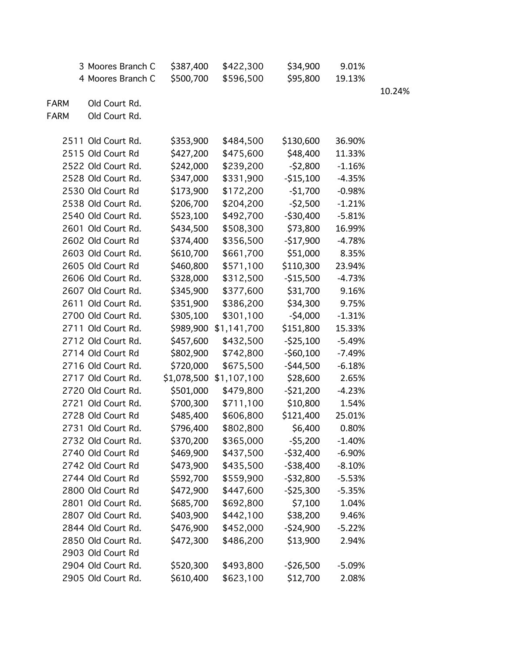|             | 3 Moores Branch C  | \$387,400   | \$422,300   | \$34,900     | 9.01%    |     |
|-------------|--------------------|-------------|-------------|--------------|----------|-----|
|             | 4 Moores Branch C  | \$500,700   | \$596,500   | \$95,800     | 19.13%   |     |
|             |                    |             |             |              |          | 10. |
| <b>FARM</b> | Old Court Rd.      |             |             |              |          |     |
| <b>FARM</b> | Old Court Rd.      |             |             |              |          |     |
|             |                    |             |             |              |          |     |
|             | 2511 Old Court Rd. | \$353,900   | \$484,500   | \$130,600    | 36.90%   |     |
|             | 2515 Old Court Rd  | \$427,200   | \$475,600   | \$48,400     | 11.33%   |     |
|             | 2522 Old Court Rd. | \$242,000   | \$239,200   | $-52,800$    | $-1.16%$ |     |
|             | 2528 Old Court Rd. | \$347,000   | \$331,900   | $-515,100$   | $-4.35%$ |     |
|             | 2530 Old Court Rd  | \$173,900   | \$172,200   | $-51,700$    | $-0.98%$ |     |
|             | 2538 Old Court Rd. | \$206,700   | \$204,200   | $-52,500$    | $-1.21%$ |     |
|             | 2540 Old Court Rd. | \$523,100   | \$492,700   | $-$ \$30,400 | $-5.81%$ |     |
|             | 2601 Old Court Rd. | \$434,500   | \$508,300   | \$73,800     | 16.99%   |     |
|             | 2602 Old Court Rd  | \$374,400   | \$356,500   | $-$17,900$   | $-4.78%$ |     |
|             | 2603 Old Court Rd. | \$610,700   | \$661,700   | \$51,000     | 8.35%    |     |
|             | 2605 Old Court Rd  | \$460,800   | \$571,100   | \$110,300    | 23.94%   |     |
|             | 2606 Old Court Rd. | \$328,000   | \$312,500   | $-$15,500$   | $-4.73%$ |     |
|             | 2607 Old Court Rd. | \$345,900   | \$377,600   | \$31,700     | 9.16%    |     |
|             | 2611 Old Court Rd. | \$351,900   | \$386,200   | \$34,300     | 9.75%    |     |
|             | 2700 Old Court Rd. | \$305,100   | \$301,100   | $-54,000$    | $-1.31%$ |     |
|             | 2711 Old Court Rd. | \$989,900   | \$1,141,700 | \$151,800    | 15.33%   |     |
|             | 2712 Old Court Rd. | \$457,600   | \$432,500   | $-525,100$   | $-5.49%$ |     |
|             | 2714 Old Court Rd  | \$802,900   | \$742,800   | $-$ \$60,100 | $-7.49%$ |     |
|             | 2716 Old Court Rd. | \$720,000   | \$675,500   | $-544,500$   | $-6.18%$ |     |
|             | 2717 Old Court Rd. | \$1,078,500 | \$1,107,100 | \$28,600     | 2.65%    |     |
|             | 2720 Old Court Rd. | \$501,000   | \$479,800   | $-521,200$   | $-4.23%$ |     |
|             | 2721 Old Court Rd. | \$700,300   | \$711,100   | \$10,800     | 1.54%    |     |
|             | 2728 Old Court Rd  | \$485,400   | \$606,800   | \$121,400    | 25.01%   |     |
|             | 2731 Old Court Rd. | \$796,400   | \$802,800   | \$6,400      | 0.80%    |     |
|             | 2732 Old Court Rd. | \$370,200   | \$365,000   | $-55,200$    | $-1.40%$ |     |
|             | 2740 Old Court Rd  | \$469,900   | \$437,500   | $-532,400$   | $-6.90%$ |     |
|             | 2742 Old Court Rd  | \$473,900   | \$435,500   | $-538,400$   | $-8.10%$ |     |
|             | 2744 Old Court Rd  | \$592,700   | \$559,900   | $-532,800$   | $-5.53%$ |     |
|             | 2800 Old Court Rd  | \$472,900   | \$447,600   | $-$ \$25,300 | $-5.35%$ |     |
|             | 2801 Old Court Rd. | \$685,700   | \$692,800   | \$7,100      | 1.04%    |     |
|             | 2807 Old Court Rd. | \$403,900   | \$442,100   | \$38,200     | 9.46%    |     |
|             | 2844 Old Court Rd. | \$476,900   | \$452,000   | $-524,900$   | $-5.22%$ |     |
|             | 2850 Old Court Rd. | \$472,300   | \$486,200   | \$13,900     | 2.94%    |     |
|             | 2903 Old Court Rd  |             |             |              |          |     |
|             | 2904 Old Court Rd. | \$520,300   | \$493,800   | $-526,500$   | $-5.09%$ |     |
|             | 2905 Old Court Rd. | \$610,400   | \$623,100   | \$12,700     | 2.08%    |     |

.24%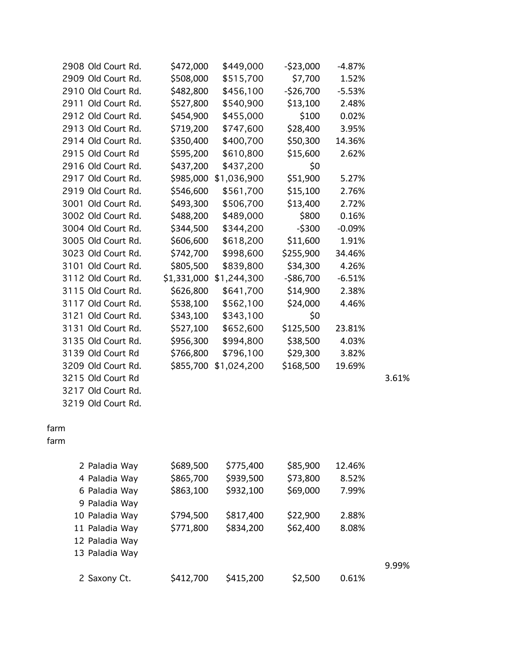|      | 2908 Old Court Rd. | \$472,000   | \$449,000   | $-$ \$23,000 | $-4.87%$ |       |
|------|--------------------|-------------|-------------|--------------|----------|-------|
|      | 2909 Old Court Rd. | \$508,000   | \$515,700   | \$7,700      | 1.52%    |       |
|      | 2910 Old Court Rd. | \$482,800   | \$456,100   | $-$ \$26,700 | $-5.53%$ |       |
|      | 2911 Old Court Rd. | \$527,800   | \$540,900   | \$13,100     | 2.48%    |       |
|      | 2912 Old Court Rd. | \$454,900   | \$455,000   | \$100        | 0.02%    |       |
|      | 2913 Old Court Rd. | \$719,200   | \$747,600   | \$28,400     | 3.95%    |       |
|      | 2914 Old Court Rd. | \$350,400   | \$400,700   | \$50,300     | 14.36%   |       |
|      | 2915 Old Court Rd  | \$595,200   | \$610,800   | \$15,600     | 2.62%    |       |
|      | 2916 Old Court Rd. | \$437,200   | \$437,200   | \$0          |          |       |
|      | 2917 Old Court Rd. | \$985,000   | \$1,036,900 | \$51,900     | 5.27%    |       |
|      | 2919 Old Court Rd. | \$546,600   | \$561,700   | \$15,100     | 2.76%    |       |
|      | 3001 Old Court Rd. | \$493,300   | \$506,700   | \$13,400     | 2.72%    |       |
|      | 3002 Old Court Rd. | \$488,200   | \$489,000   | \$800        | 0.16%    |       |
|      | 3004 Old Court Rd. | \$344,500   | \$344,200   | $-$ \$300    | $-0.09%$ |       |
|      | 3005 Old Court Rd. | \$606,600   | \$618,200   | \$11,600     | 1.91%    |       |
|      | 3023 Old Court Rd. | \$742,700   | \$998,600   | \$255,900    | 34.46%   |       |
|      | 3101 Old Court Rd. | \$805,500   | \$839,800   | \$34,300     | 4.26%    |       |
|      | 3112 Old Court Rd. | \$1,331,000 | \$1,244,300 | $-$ \$86,700 | $-6.51%$ |       |
|      | 3115 Old Court Rd. | \$626,800   | \$641,700   | \$14,900     | 2.38%    |       |
|      | 3117 Old Court Rd. | \$538,100   | \$562,100   | \$24,000     | 4.46%    |       |
|      | 3121 Old Court Rd. | \$343,100   | \$343,100   | \$0          |          |       |
|      | 3131 Old Court Rd. | \$527,100   | \$652,600   | \$125,500    | 23.81%   |       |
|      | 3135 Old Court Rd. | \$956,300   | \$994,800   | \$38,500     | 4.03%    |       |
|      | 3139 Old Court Rd  | \$766,800   | \$796,100   | \$29,300     | 3.82%    |       |
|      | 3209 Old Court Rd. | \$855,700   | \$1,024,200 | \$168,500    | 19.69%   |       |
|      | 3215 Old Court Rd  |             |             |              |          | 3.61% |
|      | 3217 Old Court Rd. |             |             |              |          |       |
|      | 3219 Old Court Rd. |             |             |              |          |       |
|      |                    |             |             |              |          |       |
| farm |                    |             |             |              |          |       |
| farm |                    |             |             |              |          |       |
|      | 2 Paladia Way      | \$689,500   | \$775,400   | \$85,900     | 12.46%   |       |
|      | 4 Paladia Way      | \$865,700   | \$939,500   | \$73,800     | 8.52%    |       |
|      | 6 Paladia Way      | \$863,100   | \$932,100   | \$69,000     | 7.99%    |       |
|      | 9 Paladia Way      |             |             |              |          |       |
|      | 10 Paladia Way     | \$794,500   | \$817,400   | \$22,900     | 2.88%    |       |
|      | 11 Paladia Way     | \$771,800   | \$834,200   | \$62,400     | 8.08%    |       |
|      | 12 Paladia Way     |             |             |              |          |       |
|      | 13 Paladia Way     |             |             |              |          |       |
|      |                    |             |             |              |          | 9.99% |
|      | 2 Saxony Ct.       | \$412,700   | \$415,200   | \$2,500      | 0.61%    |       |
|      |                    |             |             |              |          |       |

9.99%